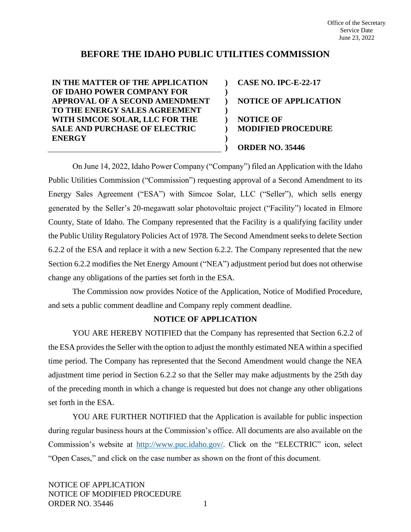# **BEFORE THE IDAHO PUBLIC UTILITIES COMMISSION**

**) ) ) ) ) ) ) )**

**IN THE MATTER OF THE APPLICATION OF IDAHO POWER COMPANY FOR APPROVAL OF A SECOND AMENDMENT TO THE ENERGY SALES AGREEMENT WITH SIMCOE SOLAR, LLC FOR THE SALE AND PURCHASE OF ELECTRIC ENERGY**

**CASE NO. IPC-E-22-17 NOTICE OF APPLICATION NOTICE OF MODIFIED PROCEDURE ORDER NO. 35446**

On June 14, 2022, Idaho Power Company ("Company") filed an Application with the Idaho Public Utilities Commission ("Commission") requesting approval of a Second Amendment to its Energy Sales Agreement ("ESA") with Simcoe Solar, LLC ("Seller"), which sells energy generated by the Seller's 20-megawatt solar photovoltaic project ("Facility") located in Elmore County, State of Idaho. The Company represented that the Facility is a qualifying facility under the Public Utility Regulatory Policies Act of 1978. The Second Amendment seeks to delete Section 6.2.2 of the ESA and replace it with a new Section 6.2.2. The Company represented that the new Section 6.2.2 modifies the Net Energy Amount ("NEA") adjustment period but does not otherwise change any obligations of the parties set forth in the ESA.

The Commission now provides Notice of the Application, Notice of Modified Procedure, and sets a public comment deadline and Company reply comment deadline.

# **NOTICE OF APPLICATION**

YOU ARE HEREBY NOTIFIED that the Company has represented that Section 6.2.2 of the ESA provides the Seller with the option to adjust the monthly estimated NEA within a specified time period. The Company has represented that the Second Amendment would change the NEA adjustment time period in Section 6.2.2 so that the Seller may make adjustments by the 25th day of the preceding month in which a change is requested but does not change any other obligations set forth in the ESA.

YOU ARE FURTHER NOTIFIED that the Application is available for public inspection during regular business hours at the Commission's office. All documents are also available on the Commission's website at [http://www.puc.idaho.gov/.](http://www.puc.idaho.gov/) Click on the "ELECTRIC" icon, select "Open Cases," and click on the case number as shown on the front of this document.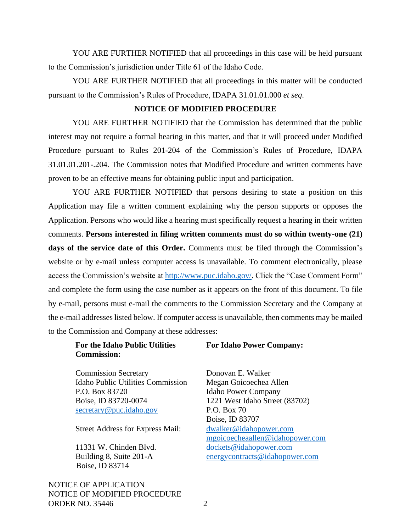YOU ARE FURTHER NOTIFIED that all proceedings in this case will be held pursuant to the Commission's jurisdiction under Title 61 of the Idaho Code.

YOU ARE FURTHER NOTIFIED that all proceedings in this matter will be conducted pursuant to the Commission's Rules of Procedure, IDAPA 31.01.01.000 *et seq*.

#### **NOTICE OF MODIFIED PROCEDURE**

YOU ARE FURTHER NOTIFIED that the Commission has determined that the public interest may not require a formal hearing in this matter, and that it will proceed under Modified Procedure pursuant to Rules 201-204 of the Commission's Rules of Procedure, IDAPA 31.01.01.201-.204. The Commission notes that Modified Procedure and written comments have proven to be an effective means for obtaining public input and participation.

YOU ARE FURTHER NOTIFIED that persons desiring to state a position on this Application may file a written comment explaining why the person supports or opposes the Application. Persons who would like a hearing must specifically request a hearing in their written comments. **Persons interested in filing written comments must do so within twenty-one (21) days of the service date of this Order.** Comments must be filed through the Commission's website or by e-mail unless computer access is unavailable. To comment electronically, please access the Commission's website at [http://www.puc.idaho.gov/.](http://www.puc.idaho.gov/) Click the "Case Comment Form" and complete the form using the case number as it appears on the front of this document. To file by e-mail, persons must e-mail the comments to the Commission Secretary and the Company at the e-mail addresses listed below. If computer access is unavailable, then comments may be mailed to the Commission and Company at these addresses:

## **For the Idaho Public Utilities Commission:**

**For Idaho Power Company:**

Commission Secretary Idaho Public Utilities Commission P.O. Box 83720 Boise, ID 83720-0074 [secretary@puc.idaho.gov](mailto:secretary@puc.idaho.gov)

Street Address for Express Mail:

11331 W. Chinden Blvd. Building 8, Suite 201-A Boise, ID 83714

NOTICE OF APPLICATION NOTICE OF MODIFIED PROCEDURE ORDER NO. 35446 2

Donovan E. Walker Megan Goicoechea Allen Idaho Power Company 1221 West Idaho Street (83702) P.O. Box 70 Boise, ID 83707 [dwalker@idahopower.com](mailto:dwalker@idahopower.com) mgoicoecheaallen@idahopower.com [dockets@idahopower.com](mailto:dockets@idahopower.com) [energycontracts@idahopower.com](mailto:energycontracts@idahopower.com)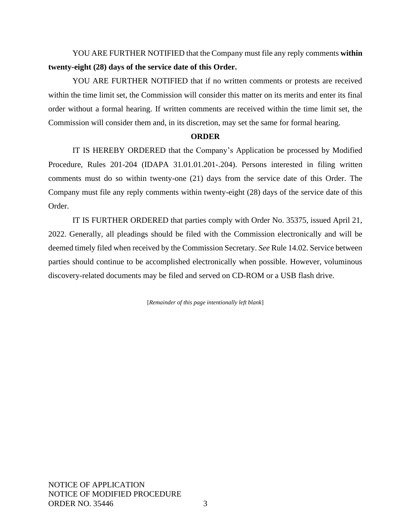YOU ARE FURTHER NOTIFIED that the Company must file any reply comments **within twenty-eight (28) days of the service date of this Order.**

YOU ARE FURTHER NOTIFIED that if no written comments or protests are received within the time limit set, the Commission will consider this matter on its merits and enter its final order without a formal hearing. If written comments are received within the time limit set, the Commission will consider them and, in its discretion, may set the same for formal hearing.

## **ORDER**

IT IS HEREBY ORDERED that the Company's Application be processed by Modified Procedure, Rules 201-204 (IDAPA 31.01.01.201-.204). Persons interested in filing written comments must do so within twenty-one (21) days from the service date of this Order. The Company must file any reply comments within twenty-eight (28) days of the service date of this Order.

IT IS FURTHER ORDERED that parties comply with Order No. 35375, issued April 21, 2022. Generally, all pleadings should be filed with the Commission electronically and will be deemed timely filed when received by the Commission Secretary. *See* Rule 14.02. Service between parties should continue to be accomplished electronically when possible. However, voluminous discovery-related documents may be filed and served on CD-ROM or a USB flash drive.

[*Remainder of this page intentionally left blank*]